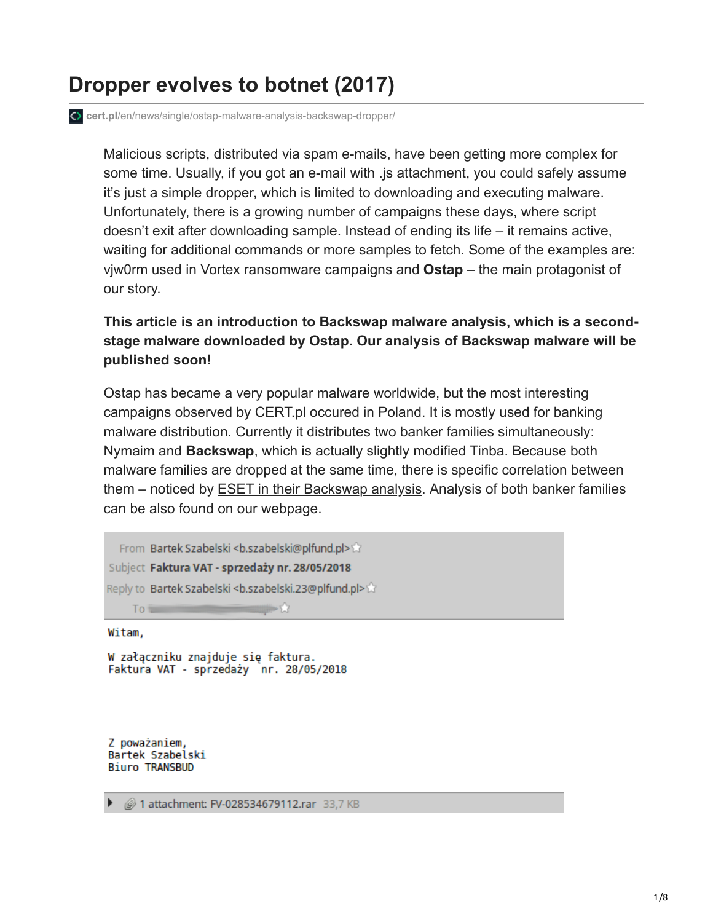# **Dropper evolves to botnet (2017)**

**cert.pl**[/en/news/single/ostap-malware-analysis-backswap-dropper/](https://www.cert.pl/en/news/single/ostap-malware-analysis-backswap-dropper/)

Malicious scripts, distributed via spam e-mails, have been getting more complex for some time. Usually, if you got an e-mail with .js attachment, you could safely assume it's just a simple dropper, which is limited to downloading and executing malware. Unfortunately, there is a growing number of campaigns these days, where script doesn't exit after downloading sample. Instead of ending its life – it remains active, waiting for additional commands or more samples to fetch. Some of the examples are: vjw0rm used in Vortex ransomware campaigns and **Ostap** – the main protagonist of our story.

#### **This article is an introduction to Backswap malware analysis, which is a secondstage malware downloaded by Ostap. Our analysis of Backswap malware will be published soon!**

Ostap has became a very popular malware worldwide, but the most interesting campaigns observed by CERT.pl occured in Poland. It is mostly used for banking malware distribution. Currently it distributes two banker families simultaneously: [Nymaim](https://www.cert.pl/news/single/nymaim-atakuje-ponownie/) and **Backswap**, which is actually slightly modified Tinba. Because both malware families are dropped at the same time, there is specific correlation between them – noticed by **ESET** in their Backswap analysis. Analysis of both banker families can be also found on our webpage.

```
From Bartek Szabelski <b.szabelski@plfund.pl>
Subject Faktura VAT - sprzedaży nr. 28/05/2018
Reply to Bartek Szabelski <b.szabelski.23@plfund.pl>
     To a
                                -53
```
Witam,

W załączniku znajduje się faktura. Faktura VAT - sprzedaży nr. 28/05/2018

Z poważaniem, Bartek Szabelski **Biuro TRANSBUD** 

▶ 21 attachment: FV-028534679112.rar 33,7 KB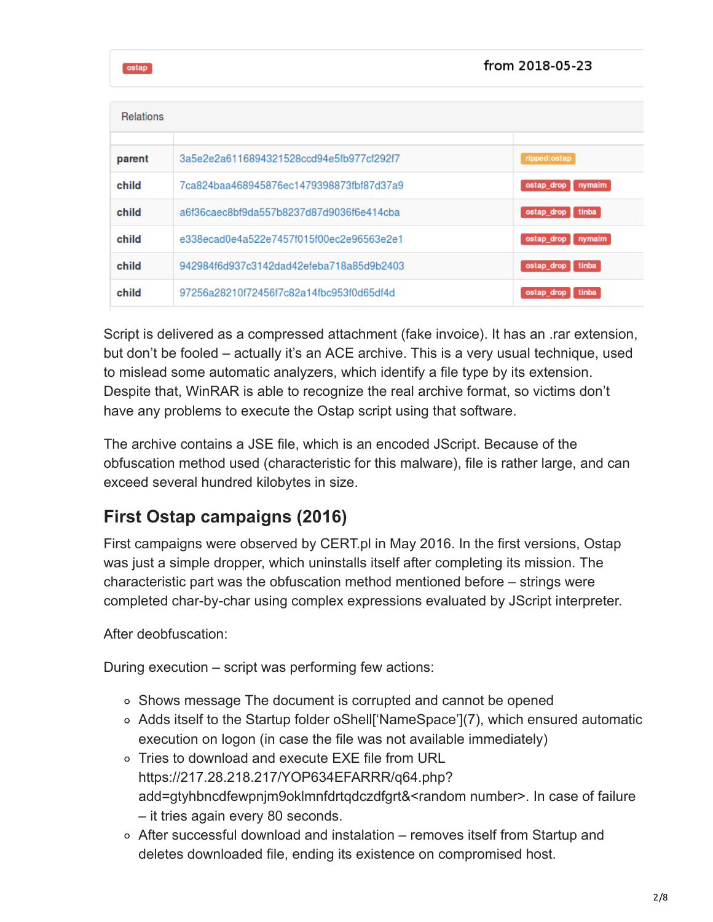from 2018-05-23

ostap

| <b>Relations</b> |                                          |                      |
|------------------|------------------------------------------|----------------------|
| parent           | 3a5e2e2a6116894321528ccd94e5fb977cf292f7 | ripped:ostap         |
| child            | 7ca824baa468945876ec1479398873fbf87d37a9 | ostap drop<br>nymaim |
| child            | a6f36caec8bf9da557b8237d87d9036f6e414cba | ostap_drop tinba     |
| child            | e338ecad0e4a522e7457f015f00ec2e96563e2e1 | ostap_drop<br>nymaim |
| child            | 942984f6d937c3142dad42efeba718a85d9b2403 | ostap_drop tinba     |
| child            | 97256a28210f72456f7c82a14fbc953f0d65df4d | tinba<br>ostap drop  |

Script is delivered as a compressed attachment (fake invoice). It has an .rar extension, but don't be fooled – actually it's an ACE archive. This is a very usual technique, used to mislead some automatic analyzers, which identify a file type by its extension. Despite that, WinRAR is able to recognize the real archive format, so victims don't have any problems to execute the Ostap script using that software.

The archive contains a JSE file, which is an encoded JScript. Because of the obfuscation method used (characteristic for this malware), file is rather large, and can exceed several hundred kilobytes in size.

#### **First Ostap campaigns (2016)**

First campaigns were observed by CERT.pl in May 2016. In the first versions, Ostap was just a simple dropper, which uninstalls itself after completing its mission. The characteristic part was the obfuscation method mentioned before – strings were completed char-by-char using complex expressions evaluated by JScript interpreter.

After deobfuscation:

During execution – script was performing few actions:

- Shows message The document is corrupted and cannot be opened
- Adds itself to the Startup folder oShell['NameSpace'](7), which ensured automatic execution on logon (in case the file was not available immediately)
- Tries to download and execute EXE file from URL https://217.28.218.217/YOP634EFARRR/q64.php? add=gtyhbncdfewpnjm9oklmnfdrtqdczdfgrt&<random number>. In case of failure – it tries again every 80 seconds.
- After successful download and instalation removes itself from Startup and deletes downloaded file, ending its existence on compromised host.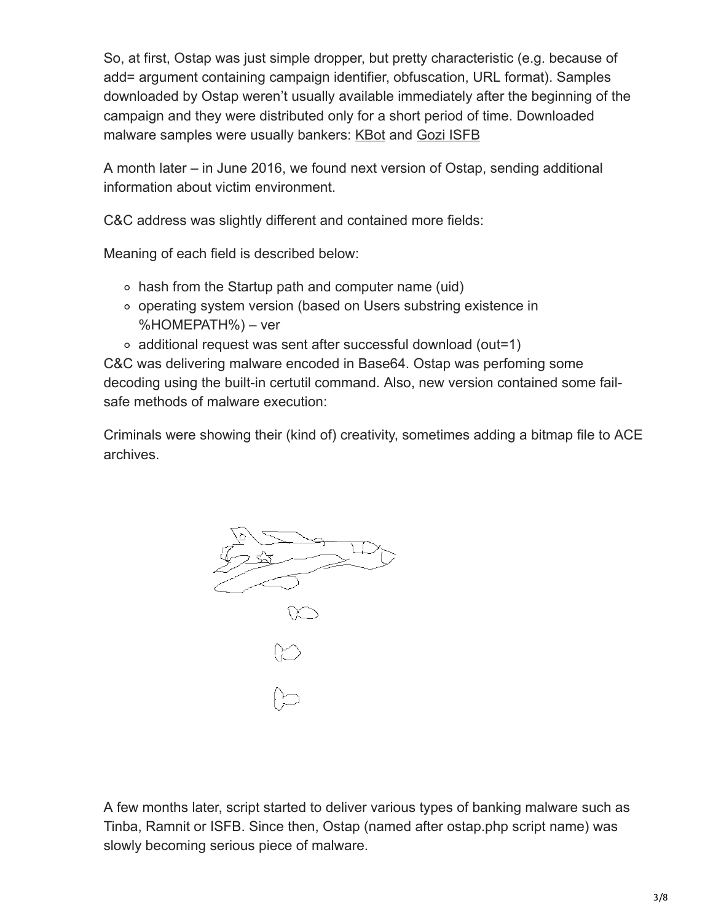So, at first, Ostap was just simple dropper, but pretty characteristic (e.g. because of add= argument containing campaign identifier, obfuscation, URL format). Samples downloaded by Ostap weren't usually available immediately after the beginning of the campaign and they were distributed only for a short period of time. Downloaded malware samples were usually bankers: [KBot](https://www.cert.pl/news/single/newest-addition-a-happy-family-kbot/) and [Gozi ISFB](https://lokalhost.pl/talks/botconf2016/)

A month later – in June 2016, we found next version of Ostap, sending additional information about victim environment.

C&C address was slightly different and contained more fields:

Meaning of each field is described below:

- hash from the Startup path and computer name (uid)
- operating system version (based on Users substring existence in %HOMEPATH%) – ver
- additional request was sent after successful download (out=1)

C&C was delivering malware encoded in Base64. Ostap was perfoming some decoding using the built-in certutil command. Also, new version contained some failsafe methods of malware execution:

Criminals were showing their (kind of) creativity, sometimes adding a bitmap file to ACE archives.



A few months later, script started to deliver various types of banking malware such as Tinba, Ramnit or ISFB. Since then, Ostap (named after ostap.php script name) was slowly becoming serious piece of malware.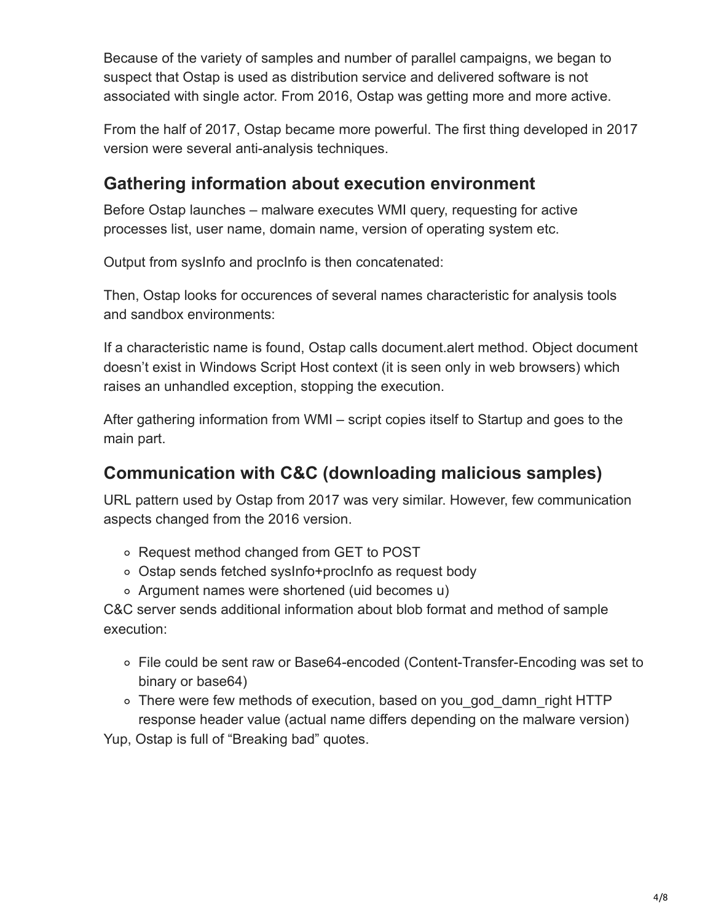Because of the variety of samples and number of parallel campaigns, we began to suspect that Ostap is used as distribution service and delivered software is not associated with single actor. From 2016, Ostap was getting more and more active.

From the half of 2017, Ostap became more powerful. The first thing developed in 2017 version were several anti-analysis techniques.

### **Gathering information about execution environment**

Before Ostap launches – malware executes WMI query, requesting for active processes list, user name, domain name, version of operating system etc.

Output from sysInfo and procInfo is then concatenated:

Then, Ostap looks for occurences of several names characteristic for analysis tools and sandbox environments:

If a characteristic name is found, Ostap calls document.alert method. Object document doesn't exist in Windows Script Host context (it is seen only in web browsers) which raises an unhandled exception, stopping the execution.

After gathering information from WMI – script copies itself to Startup and goes to the main part.

#### **Communication with C&C (downloading malicious samples)**

URL pattern used by Ostap from 2017 was very similar. However, few communication aspects changed from the 2016 version.

- Request method changed from GET to POST
- Ostap sends fetched sysInfo+procInfo as request body
- Argument names were shortened (uid becomes u)

C&C server sends additional information about blob format and method of sample execution:

- File could be sent raw or Base64-encoded (Content-Transfer-Encoding was set to binary or base64)
- There were few methods of execution, based on you\_god\_damn\_right HTTP response header value (actual name differs depending on the malware version)

Yup, Ostap is full of "Breaking bad" quotes.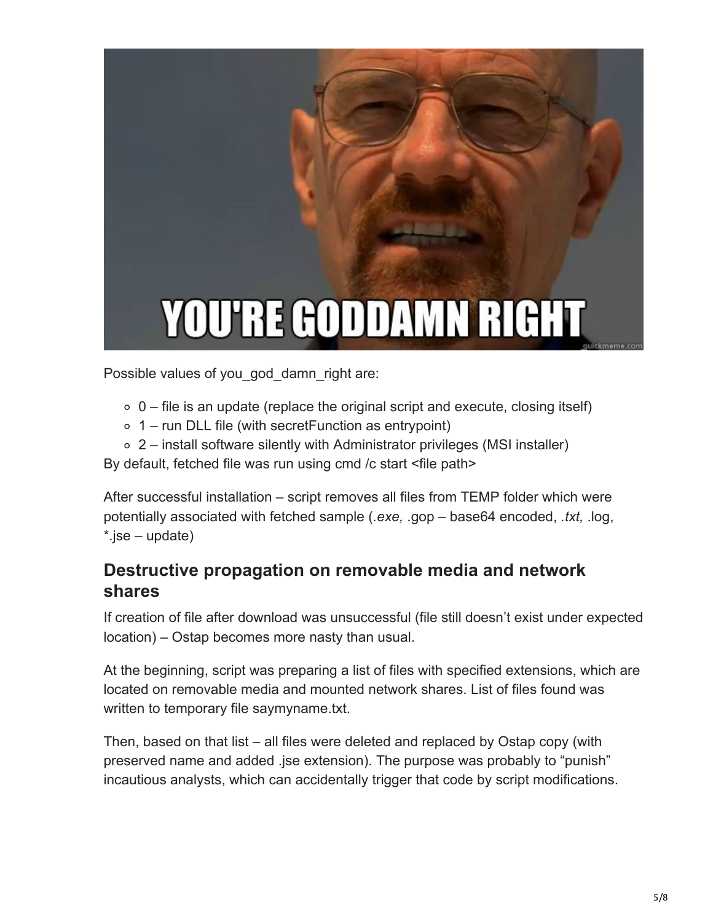

Possible values of you god damn right are:

- $\circ$  0 file is an update (replace the original script and execute, closing itself)
- $\circ$  1 run DLL file (with secret Function as entrypoint)
- 2 install software silently with Administrator privileges (MSI installer)

By default, fetched file was run using cmd /c start <file path>

After successful installation – script removes all files from TEMP folder which were potentially associated with fetched sample (*.exe,* .gop – base64 encoded, *.txt,* .log, \*.jse – update)

#### **Destructive propagation on removable media and network shares**

If creation of file after download was unsuccessful (file still doesn't exist under expected location) – Ostap becomes more nasty than usual.

At the beginning, script was preparing a list of files with specified extensions, which are located on removable media and mounted network shares. List of files found was written to temporary file saymyname.txt.

Then, based on that list – all files were deleted and replaced by Ostap copy (with preserved name and added .jse extension). The purpose was probably to "punish" incautious analysts, which can accidentally trigger that code by script modifications.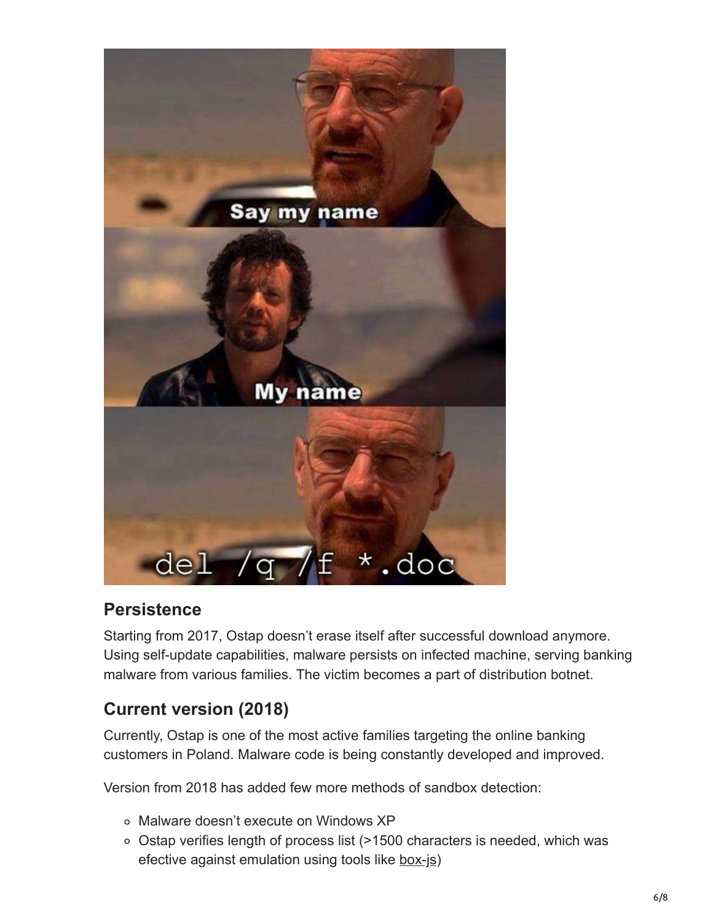

### **Persistence**

Starting from 2017, Ostap doesn't erase itself after successful download anymore. Using self-update capabilities, malware persists on infected machine, serving banking malware from various families. The victim becomes a part of distribution botnet.

### **Current version (2018)**

Currently, Ostap is one of the most active families targeting the online banking customers in Poland. Malware code is being constantly developed and improved.

Version from 2018 has added few more methods of sandbox detection:

- Malware doesn't execute on Windows XP
- Ostap verifies length of process list (>1500 characters is needed, which was efective against emulation using tools like [box-js](https://github.com/CapacitorSet/box-js))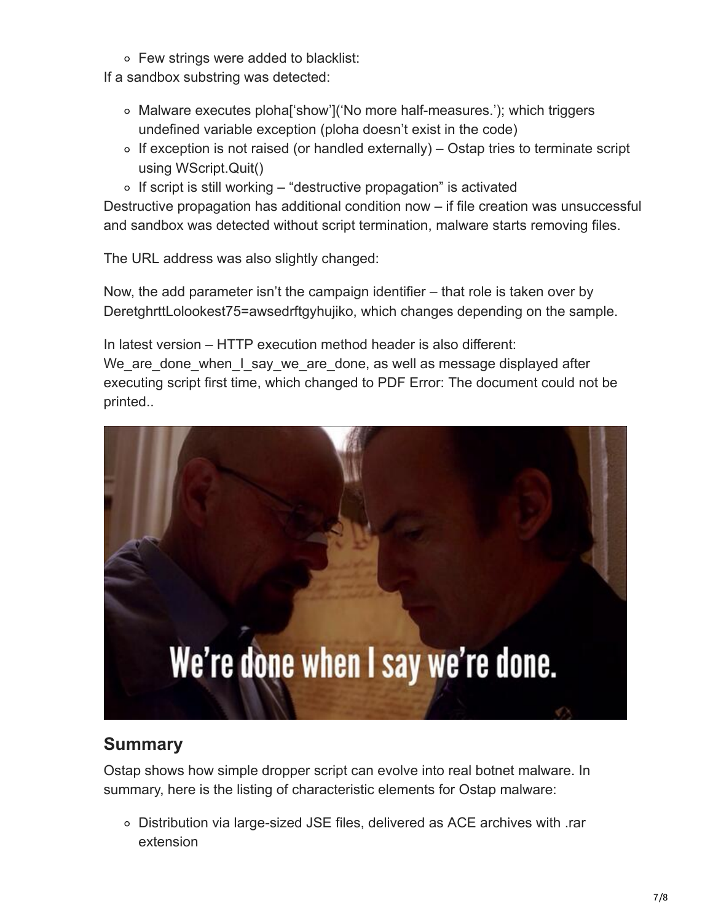Few strings were added to blacklist:

If a sandbox substring was detected:

- $\circ$  Malware executes ploha<sup>r</sup> show'l ('No more half-measures.'); which triggers undefined variable exception (ploha doesn't exist in the code)
- $\circ$  If exception is not raised (or handled externally) Ostap tries to terminate script using WScript.Quit()
- $\circ$  If script is still working "destructive propagation" is activated

Destructive propagation has additional condition now – if file creation was unsuccessful and sandbox was detected without script termination, malware starts removing files.

The URL address was also slightly changed:

Now, the add parameter isn't the campaign identifier – that role is taken over by DeretghrttLolookest75=awsedrftgyhujiko, which changes depending on the sample.

In latest version – HTTP execution method header is also different: We\_are\_done\_when\_I\_say\_we\_are\_done, as well as message displayed after executing script first time, which changed to PDF Error: The document could not be

printed..



## **Summary**

Ostap shows how simple dropper script can evolve into real botnet malware. In summary, here is the listing of characteristic elements for Ostap malware:

Distribution via large-sized JSE files, delivered as ACE archives with .rar extension